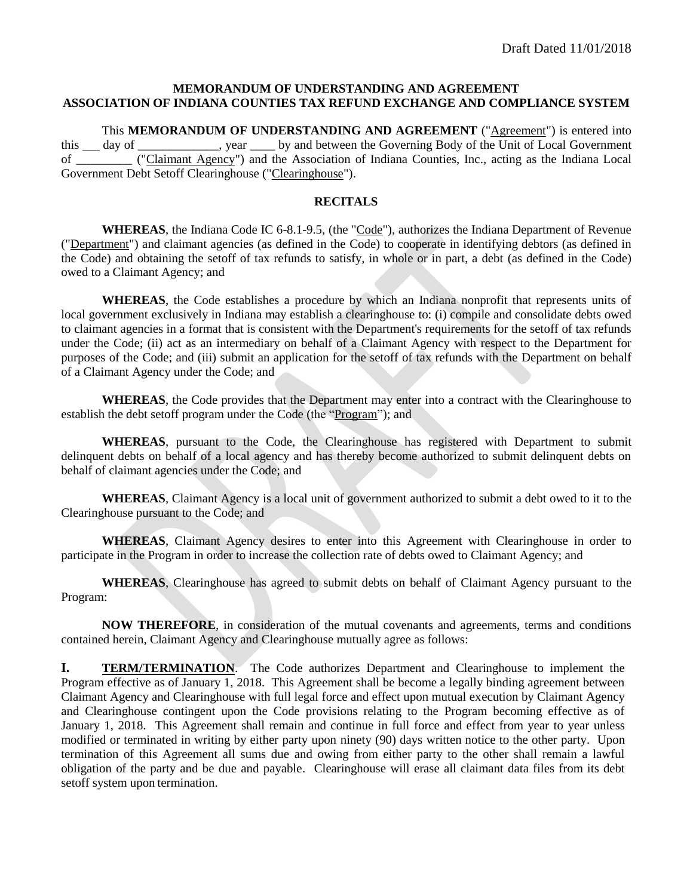#### **MEMORANDUM OF UNDERSTANDING AND AGREEMENT ASSOCIATION OF INDIANA COUNTIES TAX REFUND EXCHANGE AND COMPLIANCE SYSTEM**

This **MEMORANDUM OF UNDERSTANDING AND AGREEMENT** ("Agreement") is entered into this day of the Unit of Local Government is day of the Unit of Local Government of \_\_\_\_\_\_\_\_\_ ("Claimant Agency") and the Association of Indiana Counties, Inc., acting as the Indiana Local Government Debt Setoff Clearinghouse ("Clearinghouse").

#### **RECITALS**

**WHEREAS**, the Indiana Code IC 6-8.1-9.5, (the "Code"), authorizes the Indiana Department of Revenue ("Department") and claimant agencies (as defined in the Code) to cooperate in identifying debtors (as defined in the Code) and obtaining the setoff of tax refunds to satisfy, in whole or in part, a debt (as defined in the Code) owed to a Claimant Agency; and

**WHEREAS**, the Code establishes a procedure by which an Indiana nonprofit that represents units of local government exclusively in Indiana may establish a clearinghouse to: (i) compile and consolidate debts owed to claimant agencies in a format that is consistent with the Department's requirements for the setoff of tax refunds under the Code; (ii) act as an intermediary on behalf of a Claimant Agency with respect to the Department for purposes of the Code; and (iii) submit an application for the setoff of tax refunds with the Department on behalf of a Claimant Agency under the Code; and

**WHEREAS**, the Code provides that the Department may enter into a contract with the Clearinghouse to establish the debt setoff program under the Code (the "Program"); and

**WHEREAS**, pursuant to the Code, the Clearinghouse has registered with Department to submit delinquent debts on behalf of a local agency and has thereby become authorized to submit delinquent debts on behalf of claimant agencies under the Code; and

**WHEREAS**, Claimant Agency is a local unit of government authorized to submit a debt owed to it to the Clearinghouse pursuant to the Code; and

**WHEREAS**, Claimant Agency desires to enter into this Agreement with Clearinghouse in order to participate in the Program in order to increase the collection rate of debts owed to Claimant Agency; and

**WHEREAS**, Clearinghouse has agreed to submit debts on behalf of Claimant Agency pursuant to the Program:

**NOW THEREFORE**, in consideration of the mutual covenants and agreements, terms and conditions contained herein, Claimant Agency and Clearinghouse mutually agree as follows:

**I. TERM/TERMINATION**. The Code authorizes Department and Clearinghouse to implement the Program effective as of January 1, 2018. This Agreement shall be become a legally binding agreement between Claimant Agency and Clearinghouse with full legal force and effect upon mutual execution by Claimant Agency and Clearinghouse contingent upon the Code provisions relating to the Program becoming effective as of January 1, 2018. This Agreement shall remain and continue in full force and effect from year to year unless modified or terminated in writing by either party upon ninety (90) days written notice to the other party. Upon termination of this Agreement all sums due and owing from either party to the other shall remain a lawful obligation of the party and be due and payable. Clearinghouse will erase all claimant data files from its debt setoff system upon termination.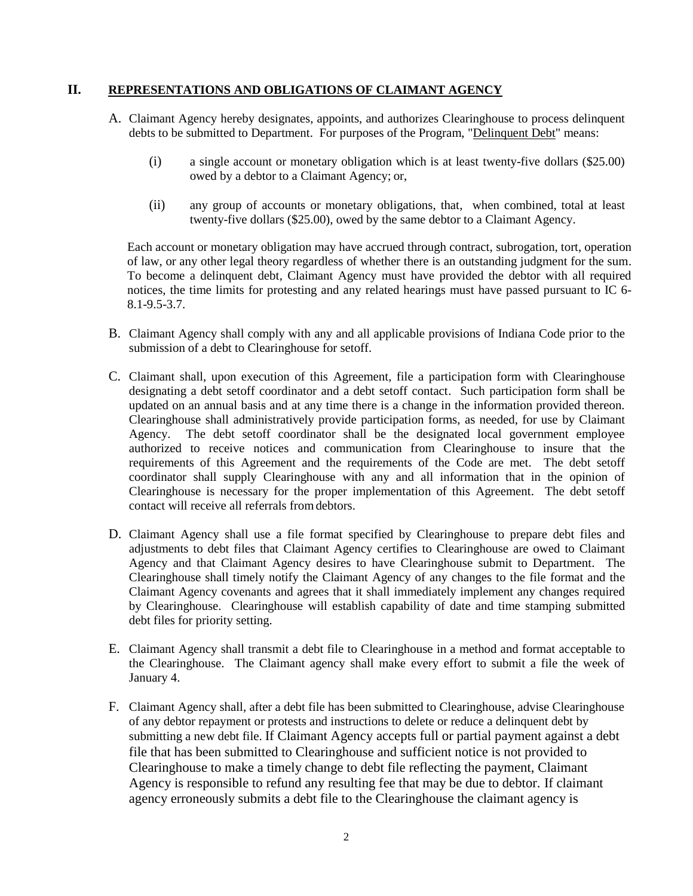### **II. REPRESENTATIONS AND OBLIGATIONS OF CLAIMANT AGENCY**

- A. Claimant Agency hereby designates, appoints, and authorizes Clearinghouse to process delinquent debts to be submitted to Department. For purposes of the Program, "Delinquent Debt" means:
	- (i) a single account or monetary obligation which is at least twenty-five dollars (\$25.00) owed by a debtor to a Claimant Agency; or,
	- (ii) any group of accounts or monetary obligations, that, when combined, total at least twenty-five dollars (\$25.00), owed by the same debtor to a Claimant Agency.

Each account or monetary obligation may have accrued through contract, subrogation, tort, operation of law, or any other legal theory regardless of whether there is an outstanding judgment for the sum. To become a delinquent debt, Claimant Agency must have provided the debtor with all required notices, the time limits for protesting and any related hearings must have passed pursuant to IC 6- 8.1-9.5-3.7.

- B. Claimant Agency shall comply with any and all applicable provisions of Indiana Code prior to the submission of a debt to Clearinghouse for setoff.
- C. Claimant shall, upon execution of this Agreement, file a participation form with Clearinghouse designating a debt setoff coordinator and a debt setoff contact. Such participation form shall be updated on an annual basis and at any time there is a change in the information provided thereon. Clearinghouse shall administratively provide participation forms, as needed, for use by Claimant Agency. The debt setoff coordinator shall be the designated local government employee authorized to receive notices and communication from Clearinghouse to insure that the requirements of this Agreement and the requirements of the Code are met. The debt setoff coordinator shall supply Clearinghouse with any and all information that in the opinion of Clearinghouse is necessary for the proper implementation of this Agreement. The debt setoff contact will receive all referrals fromdebtors.
- D. Claimant Agency shall use a file format specified by Clearinghouse to prepare debt files and adjustments to debt files that Claimant Agency certifies to Clearinghouse are owed to Claimant Agency and that Claimant Agency desires to have Clearinghouse submit to Department. The Clearinghouse shall timely notify the Claimant Agency of any changes to the file format and the Claimant Agency covenants and agrees that it shall immediately implement any changes required by Clearinghouse. Clearinghouse will establish capability of date and time stamping submitted debt files for priority setting.
- E. Claimant Agency shall transmit a debt file to Clearinghouse in a method and format acceptable to the Clearinghouse. The Claimant agency shall make every effort to submit a file the week of January 4.
- F. Claimant Agency shall, after a debt file has been submitted to Clearinghouse, advise Clearinghouse of any debtor repayment or protests and instructions to delete or reduce a delinquent debt by submitting a new debt file. If Claimant Agency accepts full or partial payment against a debt file that has been submitted to Clearinghouse and sufficient notice is not provided to Clearinghouse to make a timely change to debt file reflecting the payment, Claimant Agency is responsible to refund any resulting fee that may be due to debtor. If claimant agency erroneously submits a debt file to the Clearinghouse the claimant agency is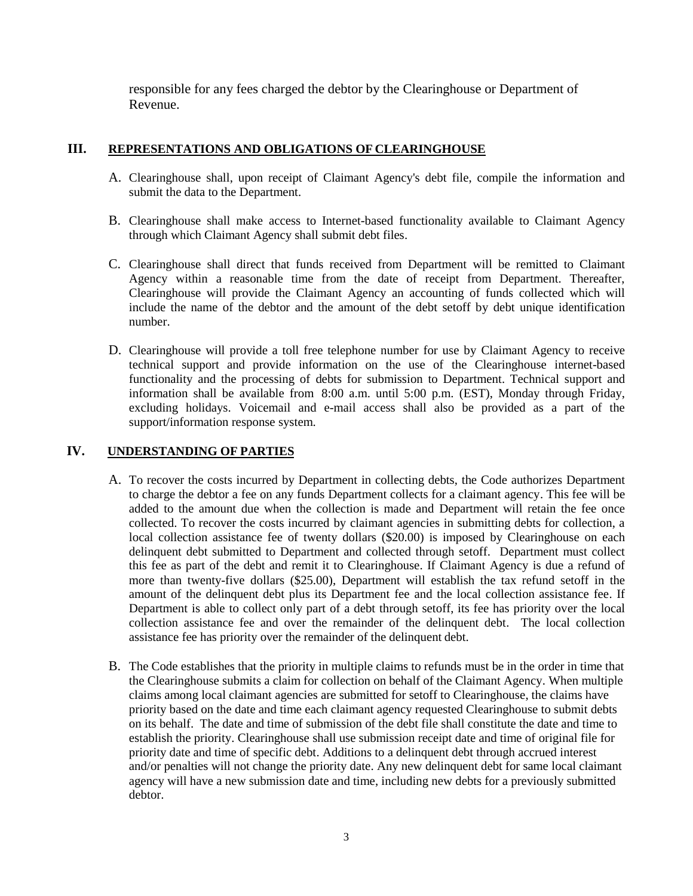responsible for any fees charged the debtor by the Clearinghouse or Department of Revenue.

## **III. REPRESENTATIONS AND OBLIGATIONS OF CLEARINGHOUSE**

- A. Clearinghouse shall, upon receipt of Claimant Agency's debt file, compile the information and submit the data to the Department.
- B. Clearinghouse shall make access to Internet-based functionality available to Claimant Agency through which Claimant Agency shall submit debt files.
- C. Clearinghouse shall direct that funds received from Department will be remitted to Claimant Agency within a reasonable time from the date of receipt from Department. Thereafter, Clearinghouse will provide the Claimant Agency an accounting of funds collected which will include the name of the debtor and the amount of the debt setoff by debt unique identification number.
- D. Clearinghouse will provide a toll free telephone number for use by Claimant Agency to receive technical support and provide information on the use of the Clearinghouse internet-based functionality and the processing of debts for submission to Department. Technical support and information shall be available from 8:00 a.m. until 5:00 p.m. (EST), Monday through Friday, excluding holidays. Voicemail and e-mail access shall also be provided as a part of the support/information response system.

## **IV. UNDERSTANDING OF PARTIES**

- A. To recover the costs incurred by Department in collecting debts, the Code authorizes Department to charge the debtor a fee on any funds Department collects for a claimant agency. This fee will be added to the amount due when the collection is made and Department will retain the fee once collected. To recover the costs incurred by claimant agencies in submitting debts for collection, a local collection assistance fee of twenty dollars (\$20.00) is imposed by Clearinghouse on each delinquent debt submitted to Department and collected through setoff. Department must collect this fee as part of the debt and remit it to Clearinghouse. If Claimant Agency is due a refund of more than twenty-five dollars (\$25.00), Department will establish the tax refund setoff in the amount of the delinquent debt plus its Department fee and the local collection assistance fee. If Department is able to collect only part of a debt through setoff, its fee has priority over the local collection assistance fee and over the remainder of the delinquent debt. The local collection assistance fee has priority over the remainder of the delinquent debt.
- B. The Code establishes that the priority in multiple claims to refunds must be in the order in time that the Clearinghouse submits a claim for collection on behalf of the Claimant Agency. When multiple claims among local claimant agencies are submitted for setoff to Clearinghouse, the claims have priority based on the date and time each claimant agency requested Clearinghouse to submit debts on its behalf. The date and time of submission of the debt file shall constitute the date and time to establish the priority. Clearinghouse shall use submission receipt date and time of original file for priority date and time of specific debt. Additions to a delinquent debt through accrued interest and/or penalties will not change the priority date. Any new delinquent debt for same local claimant agency will have a new submission date and time, including new debts for a previously submitted debtor.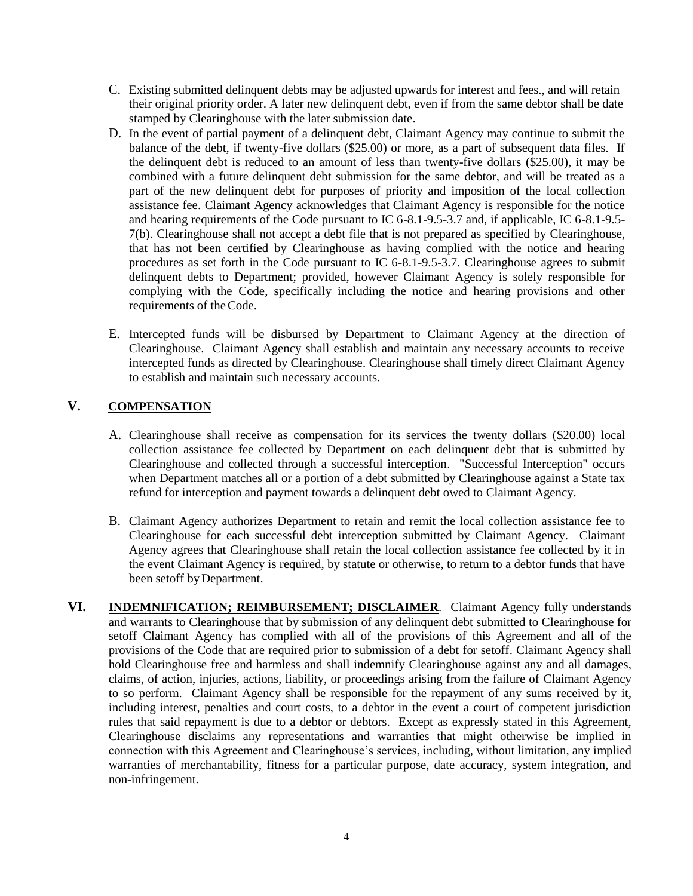- C. Existing submitted delinquent debts may be adjusted upwards for interest and fees., and will retain their original priority order. A later new delinquent debt, even if from the same debtor shall be date stamped by Clearinghouse with the later submission date.
- D. In the event of partial payment of a delinquent debt, Claimant Agency may continue to submit the balance of the debt, if twenty-five dollars (\$25.00) or more, as a part of subsequent data files. If the delinquent debt is reduced to an amount of less than twenty-five dollars (\$25.00), it may be combined with a future delinquent debt submission for the same debtor, and will be treated as a part of the new delinquent debt for purposes of priority and imposition of the local collection assistance fee. Claimant Agency acknowledges that Claimant Agency is responsible for the notice and hearing requirements of the Code pursuant to IC 6-8.1-9.5-3.7 and, if applicable, IC 6-8.1-9.5- 7(b). Clearinghouse shall not accept a debt file that is not prepared as specified by Clearinghouse, that has not been certified by Clearinghouse as having complied with the notice and hearing procedures as set forth in the Code pursuant to IC 6-8.1-9.5-3.7. Clearinghouse agrees to submit delinquent debts to Department; provided, however Claimant Agency is solely responsible for complying with the Code, specifically including the notice and hearing provisions and other requirements of theCode.
- E. Intercepted funds will be disbursed by Department to Claimant Agency at the direction of Clearinghouse. Claimant Agency shall establish and maintain any necessary accounts to receive intercepted funds as directed by Clearinghouse. Clearinghouse shall timely direct Claimant Agency to establish and maintain such necessary accounts.

# **V. COMPENSATION**

- A. Clearinghouse shall receive as compensation for its services the twenty dollars (\$20.00) local collection assistance fee collected by Department on each delinquent debt that is submitted by Clearinghouse and collected through a successful interception. "Successful Interception" occurs when Department matches all or a portion of a debt submitted by Clearinghouse against a State tax refund for interception and payment towards a delinquent debt owed to Claimant Agency.
- B. Claimant Agency authorizes Department to retain and remit the local collection assistance fee to Clearinghouse for each successful debt interception submitted by Claimant Agency. Claimant Agency agrees that Clearinghouse shall retain the local collection assistance fee collected by it in the event Claimant Agency is required, by statute or otherwise, to return to a debtor funds that have been setoff byDepartment.
- **VI. INDEMNIFICATION; REIMBURSEMENT; DISCLAIMER**. Claimant Agency fully understands and warrants to Clearinghouse that by submission of any delinquent debt submitted to Clearinghouse for setoff Claimant Agency has complied with all of the provisions of this Agreement and all of the provisions of the Code that are required prior to submission of a debt for setoff. Claimant Agency shall hold Clearinghouse free and harmless and shall indemnify Clearinghouse against any and all damages, claims, of action, injuries, actions, liability, or proceedings arising from the failure of Claimant Agency to so perform. Claimant Agency shall be responsible for the repayment of any sums received by it, including interest, penalties and court costs, to a debtor in the event a court of competent jurisdiction rules that said repayment is due to a debtor or debtors. Except as expressly stated in this Agreement, Clearinghouse disclaims any representations and warranties that might otherwise be implied in connection with this Agreement and Clearinghouse's services, including, without limitation, any implied warranties of merchantability, fitness for a particular purpose, date accuracy, system integration, and non-infringement.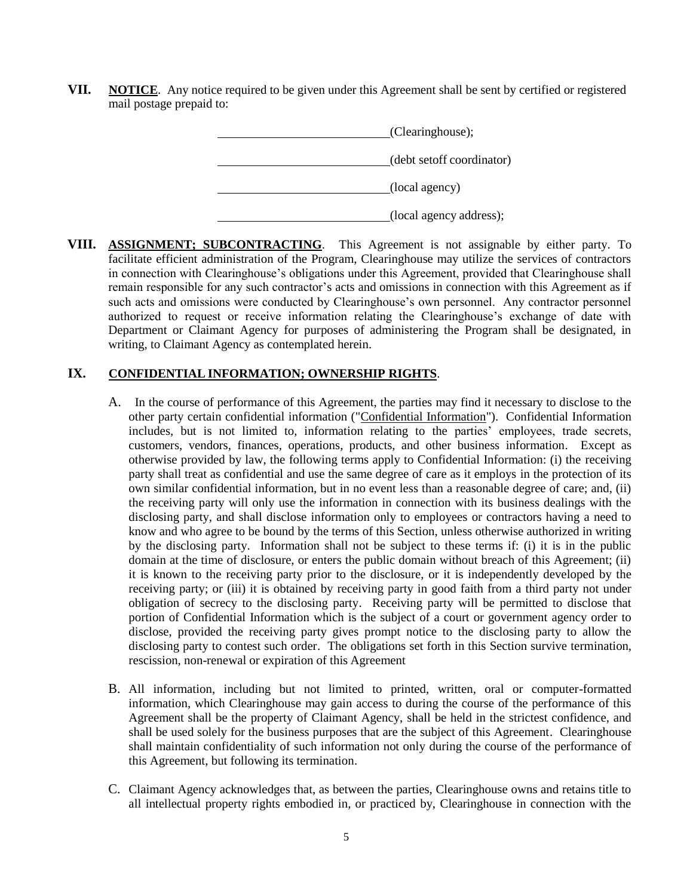**VII. NOTICE**. Any notice required to be given under this Agreement shall be sent by certified or registered mail postage prepaid to:

| (Clearinghouse);          |
|---------------------------|
| (debt set of coordinator) |
| (local agency)            |
| (local agency address);   |

**VIII. ASSIGNMENT; SUBCONTRACTING**. This Agreement is not assignable by either party. To facilitate efficient administration of the Program, Clearinghouse may utilize the services of contractors in connection with Clearinghouse's obligations under this Agreement, provided that Clearinghouse shall remain responsible for any such contractor's acts and omissions in connection with this Agreement as if such acts and omissions were conducted by Clearinghouse's own personnel. Any contractor personnel authorized to request or receive information relating the Clearinghouse's exchange of date with Department or Claimant Agency for purposes of administering the Program shall be designated, in writing, to Claimant Agency as contemplated herein.

### **IX. CONFIDENTIAL INFORMATION; OWNERSHIP RIGHTS**.

- A. In the course of performance of this Agreement, the parties may find it necessary to disclose to the other party certain confidential information ("Confidential Information"). Confidential Information includes, but is not limited to, information relating to the parties' employees, trade secrets, customers, vendors, finances, operations, products, and other business information. Except as otherwise provided by law, the following terms apply to Confidential Information: (i) the receiving party shall treat as confidential and use the same degree of care as it employs in the protection of its own similar confidential information, but in no event less than a reasonable degree of care; and, (ii) the receiving party will only use the information in connection with its business dealings with the disclosing party, and shall disclose information only to employees or contractors having a need to know and who agree to be bound by the terms of this Section, unless otherwise authorized in writing by the disclosing party. Information shall not be subject to these terms if: (i) it is in the public domain at the time of disclosure, or enters the public domain without breach of this Agreement; (ii) it is known to the receiving party prior to the disclosure, or it is independently developed by the receiving party; or (iii) it is obtained by receiving party in good faith from a third party not under obligation of secrecy to the disclosing party. Receiving party will be permitted to disclose that portion of Confidential Information which is the subject of a court or government agency order to disclose, provided the receiving party gives prompt notice to the disclosing party to allow the disclosing party to contest such order. The obligations set forth in this Section survive termination, rescission, non-renewal or expiration of this Agreement
- B. All information, including but not limited to printed, written, oral or computer-formatted information, which Clearinghouse may gain access to during the course of the performance of this Agreement shall be the property of Claimant Agency, shall be held in the strictest confidence, and shall be used solely for the business purposes that are the subject of this Agreement. Clearinghouse shall maintain confidentiality of such information not only during the course of the performance of this Agreement, but following its termination.
- C. Claimant Agency acknowledges that, as between the parties, Clearinghouse owns and retains title to all intellectual property rights embodied in, or practiced by, Clearinghouse in connection with the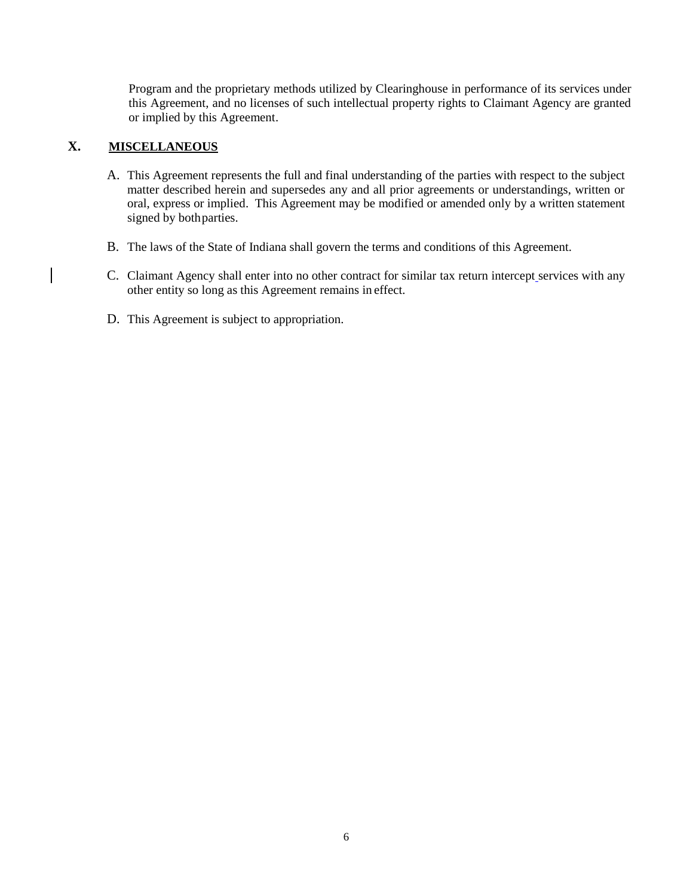Program and the proprietary methods utilized by Clearinghouse in performance of its services under this Agreement, and no licenses of such intellectual property rights to Claimant Agency are granted or implied by this Agreement.

### **X. MISCELLANEOUS**

- A. This Agreement represents the full and final understanding of the parties with respect to the subject matter described herein and supersedes any and all prior agreements or understandings, written or oral, express or implied. This Agreement may be modified or amended only by a written statement signed by both parties.
- B. The laws of the State of Indiana shall govern the terms and conditions of this Agreement.
- C. Claimant Agency shall enter into no other contract for similar tax return intercept services with any other entity so long as this Agreement remains in effect.
- D. This Agreement is subject to appropriation.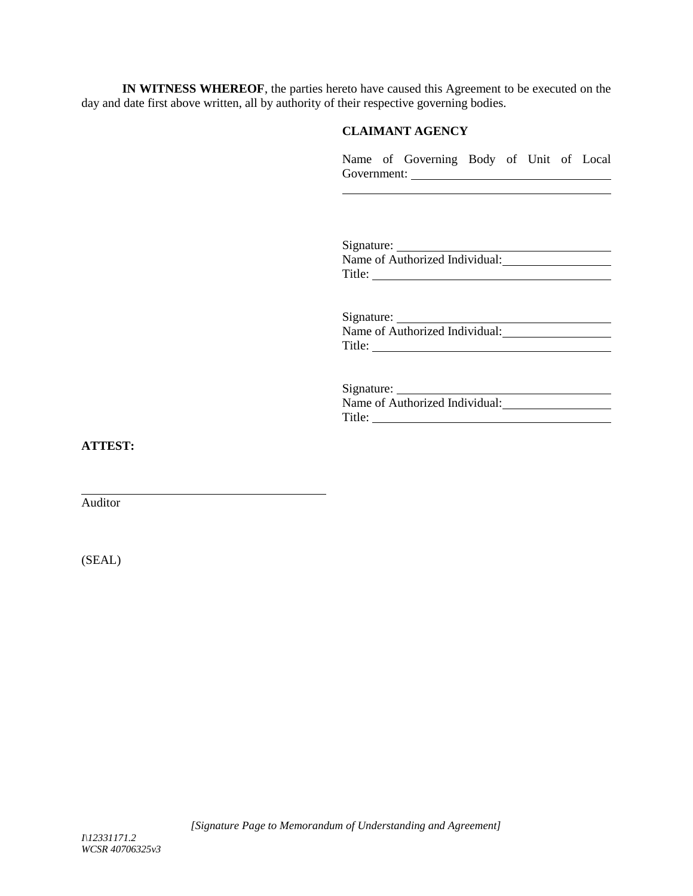**IN WITNESS WHEREOF**, the parties hereto have caused this Agreement to be executed on the day and date first above written, all by authority of their respective governing bodies.

### **CLAIMANT AGENCY**

Name of Governing Body of Unit of Local Government:

Signature: Name of Authorized Individual: Title:

Signature: Name of Authorized Individual: Title:

Signature:

Name of Authorized Individual: Title:

**ATTEST:**

Auditor

(SEAL)